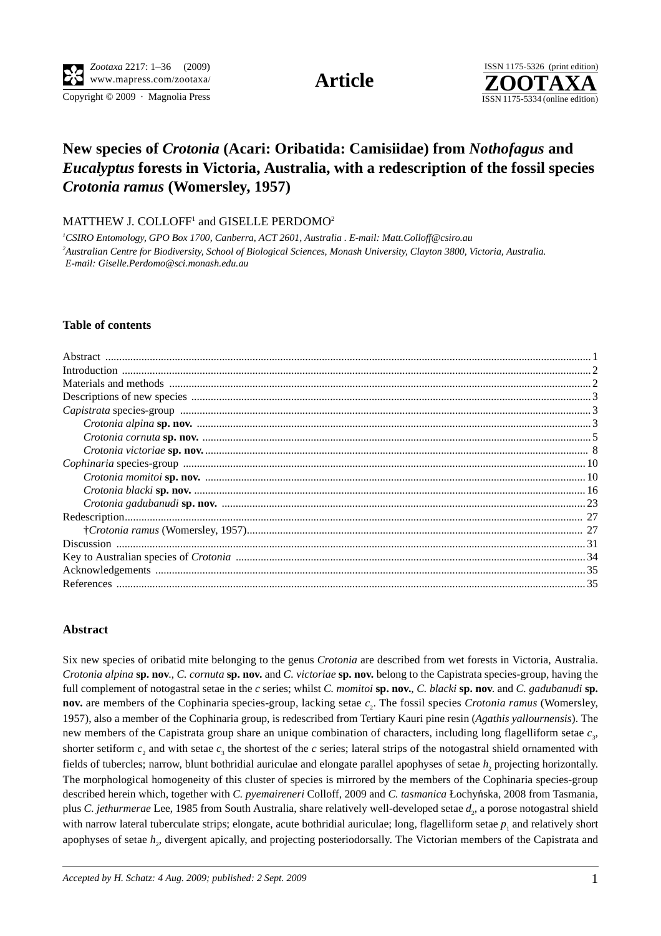Copyright © 2009 · Magnolia Press ISSN 1175-5334 (online edition)



# **New species of** *Crotonia* **(Acari: Oribatida: Camisiidae) from** *Nothofagus* **and**  *Eucalyptus* **forests in Victoria, Australia, with a redescription of the fossil species**  *Crotonia ramus* **(Womersley, 1957)**

 $\mathrm{MATTHEW}$  J.  $\mathrm{COLLOFF^{1}}$  and  $\mathrm{GISELLE}$   $\mathrm{PERDOMO^{2}}$ 

*1 CSIRO Entomology, GPO Box 1700, Canberra, ACT 2601, Australia . E-mail: Matt.Colloff@csiro.au 2 Australian Centre for Biodiversity, School of Biological Sciences, Monash University, Clayton 3800, Victoria, Australia. E-mail: Giselle.Perdomo@sci.monash.edu.au* 

#### **Table of contents**

### **Abstract**

Six new species of oribatid mite belonging to the genus *Crotonia* are described from wet forests in Victoria, Australia. *Crotonia alpina* **sp. nov**., *C. cornuta* **sp. nov.** and *C. victoriae* **sp. nov.** belong to the Capistrata species-group, having the full complement of notogastral setae in the *c* series; whilst *C. momitoi* **sp. nov.**, *C. blacki* **sp. nov**. and *C. gadubanudi* **sp. nov.** are members of the Cophinaria species-group, lacking setae  $c_2$ . The fossil species *Crotonia ramus* (Womersley, 1957), also a member of the Cophinaria group, is redescribed from Tertiary Kauri pine resin (*Agathis yallournensis*). The new members of the Capistrata group share an unique combination of characters, including long flagelliform setae  $c_3$ , shorter setiform  $c_2$  and with setae  $c_3$  the shortest of the  $c$  series; lateral strips of the notogastral shield ornamented with fields of tubercles; narrow, blunt bothridial auriculae and elongate parallel apophyses of setae *h*, projecting horizontally. The morphological homogeneity of this cluster of species is mirrored by the members of the Cophinaria species-group described herein which, together with *C. pyemaireneri* Colloff, 2009 and *C. tasmanica* Łochyńska, 2008 from Tasmania, plus *C. jethurmerae* Lee, 1985 from South Australia, share relatively well-developed setae *d*<sub>2</sub>, a porose notogastral shield with narrow lateral tuberculate strips; elongate, acute bothridial auriculae; long, flagelliform setae  $p_1$  and relatively short apophyses of setae  $h_2$ , divergent apically, and projecting posteriodorsally. The Victorian members of the Capistrata and